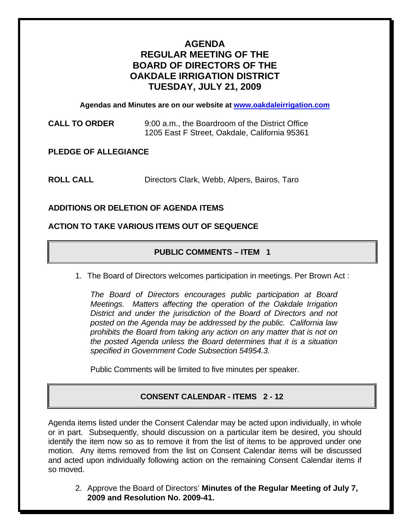# **AGENDA REGULAR MEETING OF THE BOARD OF DIRECTORS OF THE OAKDALE IRRIGATION DISTRICT TUESDAY, JULY 21, 2009**

**Agendas and Minutes are on our website at [www.oakdaleirrigation.com](http://www.oakdaleirrigation.com/)**

**CALL TO ORDER** 9:00 a.m., the Boardroom of the District Office 1205 East F Street, Oakdale, California 95361

**PLEDGE OF ALLEGIANCE** 

**ROLL CALL** Directors Clark, Webb, Alpers, Bairos, Taro

## **ADDITIONS OR DELETION OF AGENDA ITEMS**

#### **ACTION TO TAKE VARIOUS ITEMS OUT OF SEQUENCE**

## **PUBLIC COMMENTS – ITEM 1**

1. The Board of Directors welcomes participation in meetings. Per Brown Act :

*The Board of Directors encourages public participation at Board Meetings. Matters affecting the operation of the Oakdale Irrigation District and under the jurisdiction of the Board of Directors and not posted on the Agenda may be addressed by the public. California law prohibits the Board from taking any action on any matter that is not on the posted Agenda unless the Board determines that it is a situation specified in Government Code Subsection 54954.3.*

Public Comments will be limited to five minutes per speaker.

## **CONSENT CALENDAR - ITEMS 2 - 12**

Agenda items listed under the Consent Calendar may be acted upon individually, in whole or in part. Subsequently, should discussion on a particular item be desired, you should identify the item now so as to remove it from the list of items to be approved under one motion. Any items removed from the list on Consent Calendar items will be discussed and acted upon individually following action on the remaining Consent Calendar items if so moved.

2. Approve the Board of Directors' **Minutes of the Regular Meeting of July 7, 2009 and Resolution No. 2009-41.**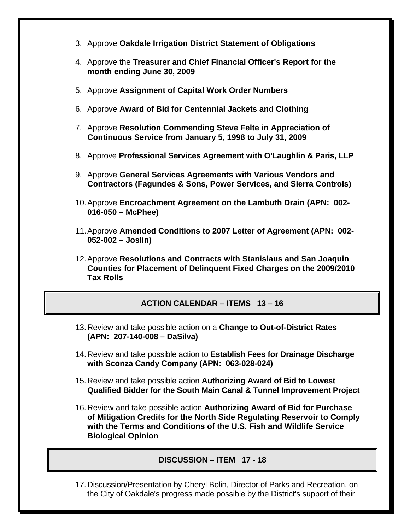- 3. Approve **Oakdale Irrigation District Statement of Obligations**
- 4. Approve the **Treasurer and Chief Financial Officer's Report for the month ending June 30, 2009**
- 5. Approve **Assignment of Capital Work Order Numbers**
- 6. Approve **Award of Bid for Centennial Jackets and Clothing**
- 7. Approve **Resolution Commending Steve Felte in Appreciation of Continuous Service from January 5, 1998 to July 31, 2009**
- 8. Approve **Professional Services Agreement with O'Laughlin & Paris, LLP**
- 9. Approve **General Services Agreements with Various Vendors and Contractors (Fagundes & Sons, Power Services, and Sierra Controls)**
- 10. Approve **Encroachment Agreement on the Lambuth Drain (APN: 002- 016-050 – McPhee)**
- 11. Approve **Amended Conditions to 2007 Letter of Agreement (APN: 002- 052-002 – Joslin)**
- 12. Approve **Resolutions and Contracts with Stanislaus and San Joaquin Counties for Placement of Delinquent Fixed Charges on the 2009/2010 Tax Rolls**

## **ACTION CALENDAR – ITEMS 13 – 16**

- 13. Review and take possible action on a **Change to Out-of-District Rates (APN: 207-140-008 – DaSilva)**
- 14. Review and take possible action to **Establish Fees for Drainage Discharge with Sconza Candy Company (APN: 063-028-024)**
- 15. Review and take possible action **Authorizing Award of Bid to Lowest Qualified Bidder for the South Main Canal & Tunnel Improvement Project**
- 16. Review and take possible action **Authorizing Award of Bid for Purchase of Mitigation Credits for the North Side Regulating Reservoir to Comply with the Terms and Conditions of the U.S. Fish and Wildlife Service Biological Opinion**

#### **DISCUSSION – ITEM 17 - 18**

17. Discussion/Presentation by Cheryl Bolin, Director of Parks and Recreation, on the City of Oakdale's progress made possible by the District's support of their